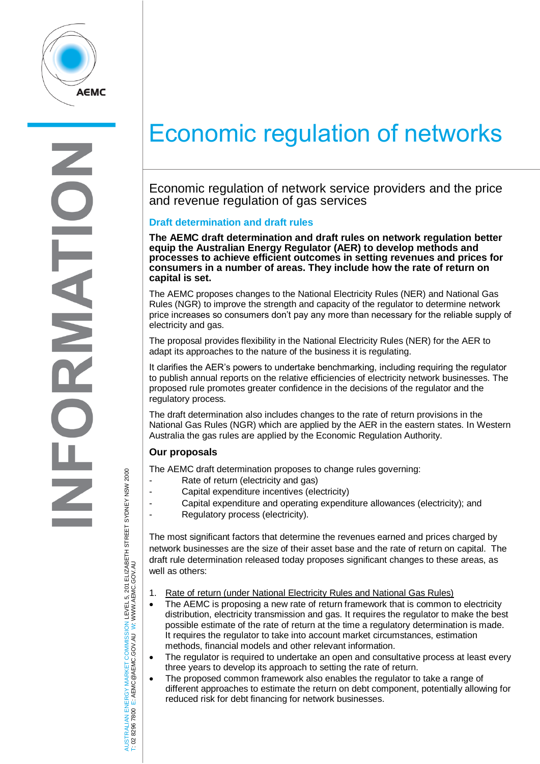

K  $\overline{\phantom{0}}$ 

# Economic regulation of networks

Economic regulation of network service providers and the price and revenue regulation of gas services

## **Draft determination and draft rules**

**The AEMC draft determination and draft rules on network regulation better equip the Australian Energy Regulator (AER) to develop methods and processes to achieve efficient outcomes in setting revenues and prices for consumers in a number of areas. They include how the rate of return on capital is set.**

The AEMC proposes changes to the National Electricity Rules (NER) and National Gas Rules (NGR) to improve the strength and capacity of the regulator to determine network price increases so consumers don't pay any more than necessary for the reliable supply of electricity and gas.

The proposal provides flexibility in the National Electricity Rules (NER) for the AER to adapt its approaches to the nature of the business it is regulating.

It clarifies the AER's powers to undertake benchmarking, including requiring the regulator to publish annual reports on the relative efficiencies of electricity network businesses. The proposed rule promotes greater confidence in the decisions of the regulator and the regulatory process.

The draft determination also includes changes to the rate of return provisions in the National Gas Rules (NGR) which are applied by the AER in the eastern states. In Western Australia the gas rules are applied by the Economic Regulation Authority.

## **Our proposals**

The AEMC draft determination proposes to change rules governing:

- Rate of return (electricity and gas)
- Capital expenditure incentives (electricity)
- Capital expenditure and operating expenditure allowances (electricity); and
- Regulatory process (electricity).

The most significant factors that determine the revenues earned and prices charged by network businesses are the size of their asset base and the rate of return on capital. The draft rule determination released today proposes significant changes to these areas, as well as others:

- 1. Rate of return (under National Electricity Rules and National Gas Rules)
- The AEMC is proposing a new rate of return framework that is common to electricity distribution, electricity transmission and gas. It requires the regulator to make the best possible estimate of the rate of return at the time a regulatory determination is made. It requires the regulator to take into account market circumstances, estimation methods, financial models and other relevant information.
- The regulator is required to undertake an open and consultative process at least every three years to develop its approach to setting the rate of return.
- The proposed common framework also enables the regulator to take a range of different approaches to estimate the return on debt component, potentially allowing for reduced risk for debt financing for network businesses.

AUSTRALIAN ENERGY MARKET COMMISSION LEVEL 5, 201 ELIZABETH STREET SYDNEY NSW 2000<br>T: 02 8296 7800 E: AEMC@AEMC.GOV.AU W: WWW.AEMC.GOV.AU AUSTRALIAN ENERGY MARKET COMMISSION LEVEL 5, 201 ELIZABETH STREET SYDNEY NSW 2000 W: WWW.AEMC.GOV.AU T: 02 8296 7800 E: AEMC@AEMC.GOV.AU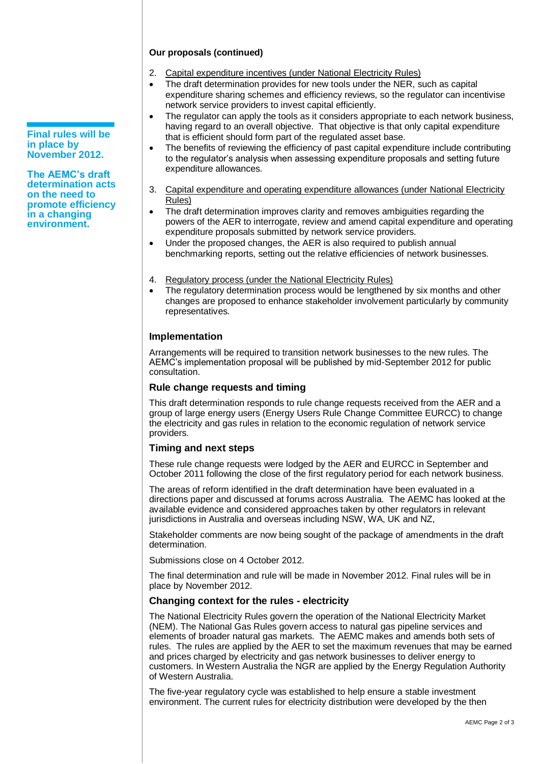#### **Our proposals (continued)**

- 2. Capital expenditure incentives (under National Electricity Rules)
- The draft determination provides for new tools under the NER, such as capital expenditure sharing schemes and efficiency reviews, so the regulator can incentivise network service providers to invest capital efficiently.
- The regulator can apply the tools as it considers appropriate to each network business. having regard to an overall objective. That objective is that only capital expenditure that is efficient should form part of the regulated asset base.
- The benefits of reviewing the efficiency of past capital expenditure include contributing to the regulator's analysis when assessing expenditure proposals and setting future expenditure allowances.
- 3. Capital expenditure and operating expenditure allowances (under National Electricity Rules)
- The draft determination improves clarity and removes ambiguities regarding the powers of the AER to interrogate, review and amend capital expenditure and operating expenditure proposals submitted by network service providers.
- Under the proposed changes, the AER is also required to publish annual benchmarking reports, setting out the relative efficiencies of network businesses.
- 4. Regulatory process (under the National Electricity Rules)
- The regulatory determination process would be lengthened by six months and other changes are proposed to enhance stakeholder involvement particularly by community representatives.

#### **Implementation**

Arrangements will be required to transition network businesses to the new rules. The AEMC's implementation proposal will be published by mid-September 2012 for public consultation.

#### **Rule change requests and timing**

This draft determination responds to rule change requests received from the AER and a group of large energy users (Energy Users Rule Change Committee EURCC) to change the electricity and gas rules in relation to the economic regulation of network service providers.

#### **Timing and next steps**

These rule change requests were lodged by the AER and EURCC in September and October 2011 following the close of the first regulatory period for each network business.

The areas of reform identified in the draft determination have been evaluated in a directions paper and discussed at forums across Australia. The AEMC has looked at the available evidence and considered approaches taken by other regulators in relevant jurisdictions in Australia and overseas including NSW, WA, UK and NZ,

Stakeholder comments are now being sought of the package of amendments in the draft determination.

Submissions close on 4 October 2012.

The final determination and rule will be made in November 2012. Final rules will be in place by November 2012.

#### **Changing context for the rules - electricity**

The National Electricity Rules govern the operation of the National Electricity Market (NEM). The National Gas Rules govern access to natural gas pipeline services and elements of broader natural gas markets. The AEMC makes and amends both sets of rules. The rules are applied by the AER to set the maximum revenues that may be earned and prices charged by electricity and gas network businesses to deliver energy to customers. In Western Australia the NGR are applied by the Energy Regulation Authority of Western Australia.

The five-year regulatory cycle was established to help ensure a stable investment environment. The current rules for electricity distribution were developed by the then

**Final rules will be in place by November 2012.** 

**The AEMC's draft determination acts on the need to promote efficiency in a changing environment.**